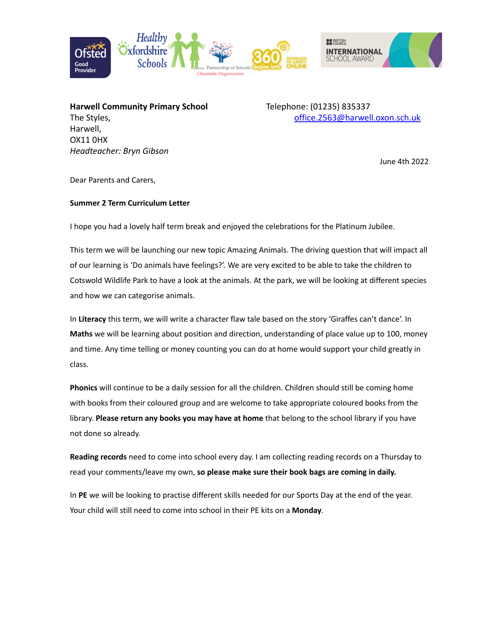



**Harwell Community Primary School** Telephone: (01235) 835337 Harwell, OX11 0HX *Headteacher: Bryn Gibson*

The Styles, and the Styles, [office.2563@harwell.oxon.sch.uk](mailto:office.2563@harwell.oxon.sch.uk)

June 4th 2022

Dear Parents and Carers,

## **Summer 2 Term Curriculum Letter**

I hope you had a lovely half term break and enjoyed the celebrations for the Platinum Jubilee.

This term we will be launching our new topic Amazing Animals. The driving question that will impact all of our learning is 'Do animals have feelings?'. We are very excited to be able to take the children to Cotswold Wildlife Park to have a look at the animals. At the park, we will be looking at different species and how we can categorise animals.

In **Literacy** this term, we will write a character flaw tale based on the story 'Giraffes can't dance'. In **Maths** we will be learning about position and direction, understanding of place value up to 100, money and time. Any time telling or money counting you can do at home would support your child greatly in class.

**Phonics** will continue to be a daily session for all the children. Children should still be coming home with books from their coloured group and are welcome to take appropriate coloured books from the library. **Please return any books you may have at home** that belong to the school library if you have not done so already.

**Reading records** need to come into school every day. I am collecting reading records on a Thursday to read your comments/leave my own, **so please make sure their book bags are coming in daily.**

In **PE** we will be looking to practise different skills needed for our Sports Day at the end of the year. Your child will still need to come into school in their PE kits on a **Monday**.